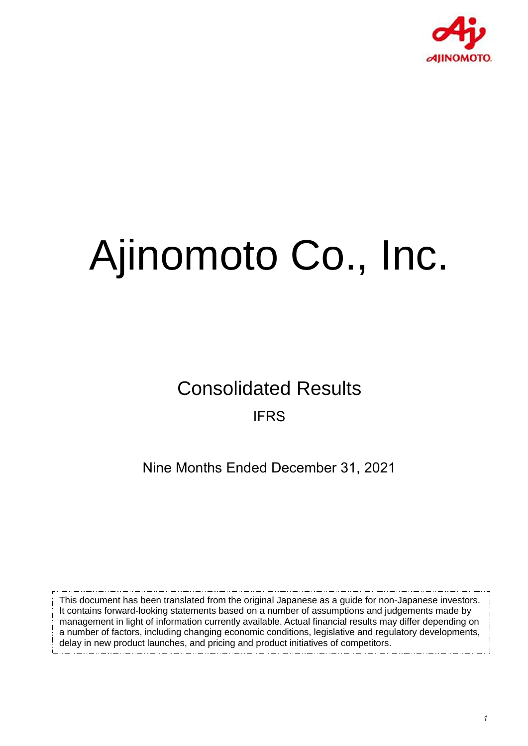

# Ajinomoto Co., Inc.

Consolidated Results IFRS

Nine Months Ended December 31, 2021

This document has been translated from the original Japanese as a guide for non-Japanese investors. It contains forward-looking statements based on a number of assumptions and judgements made by management in light of information currently available. Actual financial results may differ depending on a number of factors, including changing economic conditions, legislative and regulatory developments, delay in new product launches, and pricing and product initiatives of competitors.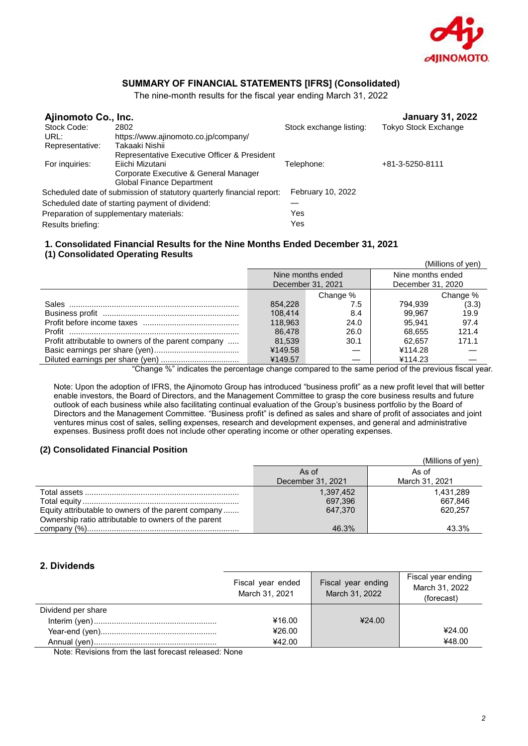

## **SUMMARY OF FINANCIAL STATEMENTS [IFRS] (Consolidated)**

The nine-month results for the fiscal year ending March 31, 2022

| Ajinomoto Co., Inc.                                                   |                          | <b>January 31, 2022</b>     |
|-----------------------------------------------------------------------|--------------------------|-----------------------------|
| 2802                                                                  |                          | <b>Tokyo Stock Exchange</b> |
| https://www.ajinomoto.co.jp/company/                                  |                          |                             |
| Takaaki Nishii                                                        |                          |                             |
| Representative Executive Officer & President                          |                          |                             |
| Eiichi Mizutani                                                       | Telephone:               | +81-3-5250-8111             |
| Corporate Executive & General Manager                                 |                          |                             |
| Global Finance Department                                             |                          |                             |
| Scheduled date of submission of statutory quarterly financial report: | <b>February 10, 2022</b> |                             |
| Scheduled date of starting payment of dividend:                       |                          |                             |
| Preparation of supplementary materials:                               | Yes                      |                             |
|                                                                       | Yes                      |                             |
|                                                                       |                          | Stock exchange listing:     |

#### **1. Consolidated Financial Results for the Nine Months Ended December 31, 2021 (1) Consolidated Operating Results**

|                                                                                                                                                                                                                                                       |         |                   |                   | (Millions of yen) |
|-------------------------------------------------------------------------------------------------------------------------------------------------------------------------------------------------------------------------------------------------------|---------|-------------------|-------------------|-------------------|
|                                                                                                                                                                                                                                                       |         | Nine months ended | Nine months ended |                   |
|                                                                                                                                                                                                                                                       |         | December 31, 2021 | December 31, 2020 |                   |
|                                                                                                                                                                                                                                                       |         | Change %          |                   | Change %          |
|                                                                                                                                                                                                                                                       | 854.228 | 7.5               | 794.939           | (3.3)             |
|                                                                                                                                                                                                                                                       | 108.414 | 8.4               | 99.967            | 19.9              |
|                                                                                                                                                                                                                                                       | 118.963 | 24.0              | 95.941            | 97.4              |
|                                                                                                                                                                                                                                                       | 86.478  | 26.0              | 68.655            | 121.4             |
| Profit attributable to owners of the parent company                                                                                                                                                                                                   | 81.539  | 30.1              | 62.657            | 171.1             |
|                                                                                                                                                                                                                                                       | ¥149.58 |                   | ¥114.28           |                   |
|                                                                                                                                                                                                                                                       | ¥149.57 |                   | ¥114.23           |                   |
| $\mu$ and $\mu$ and $\mu$ and $\mu$ and $\mu$ and $\mu$ and $\mu$ and $\mu$ and $\mu$ and $\mu$ and $\mu$ and $\mu$ and $\mu$ and $\mu$ and $\mu$ and $\mu$ and $\mu$ and $\mu$ and $\mu$ and $\mu$ and $\mu$ and $\mu$ and $\mu$ and $\mu$ and $\mu$ |         |                   |                   |                   |

"Change %" indicates the percentage change compared to the same period of the previous fiscal year.

Note: Upon the adoption of IFRS, the Ajinomoto Group has introduced "business profit" as a new profit level that will better enable investors, the Board of Directors, and the Management Committee to grasp the core business results and future outlook of each business while also facilitating continual evaluation of the Group's business portfolio by the Board of Directors and the Management Committee. "Business profit" is defined as sales and share of profit of associates and joint ventures minus cost of sales, selling expenses, research and development expenses, and general and administrative expenses. Business profit does not include other operating income or other operating expenses.

#### **(2) Consolidated Financial Position**

|                                                      |                   | (Millions of yen) |
|------------------------------------------------------|-------------------|-------------------|
|                                                      | As of             | As of             |
|                                                      | December 31, 2021 | March 31, 2021    |
|                                                      | 1,397,452         | 1,431,289         |
|                                                      | 697.396           | 667.846           |
| Equity attributable to owners of the parent company  | 647.370           | 620.257           |
| Ownership ratio attributable to owners of the parent |                   |                   |
|                                                      | 46.3%             | 43.3%             |

#### **2. Dividends**

|                    | Fiscal year ended<br>March 31, 2021 | Fiscal year ending<br>March 31, 2022 | Fiscal year ending<br>March 31, 2022<br>(forecast) |
|--------------------|-------------------------------------|--------------------------------------|----------------------------------------------------|
| Dividend per share |                                     |                                      |                                                    |
|                    | ¥16.00                              | 424.00                               |                                                    |
|                    | ¥26.00                              |                                      | ¥24.00                                             |
|                    | ¥42.00                              |                                      | ¥48.00                                             |

Note: Revisions from the last forecast released: None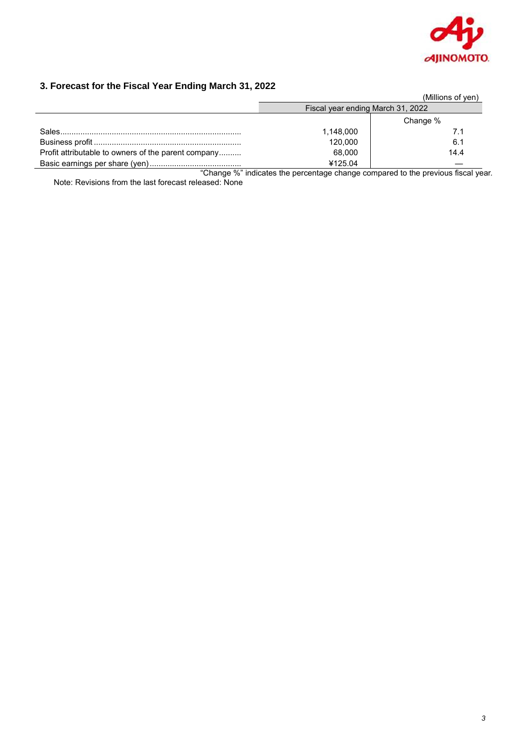

# **3. Forecast for the Fiscal Year Ending March 31, 2022**

|                                                     |                                   | (Millions of yen) |
|-----------------------------------------------------|-----------------------------------|-------------------|
|                                                     | Fiscal year ending March 31, 2022 |                   |
|                                                     |                                   | Change %          |
|                                                     | 1,148,000                         | 7.1               |
|                                                     | 120.000                           | 6.1               |
| Profit attributable to owners of the parent company | 68.000                            | 14.4              |
|                                                     | ¥125.04                           |                   |

"Change %" indicates the percentage change compared to the previous fiscal year. Note: Revisions from the last forecast released: None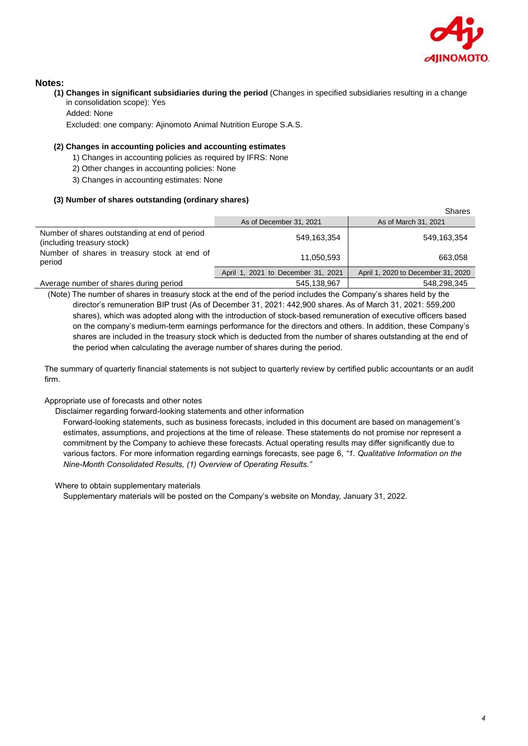

#### **Notes:**

**(1) Changes in significant subsidiaries during the period** (Changes in specified subsidiaries resulting in a change in consolidation scope): Yes

Added: None

Excluded: one company: Ajinomoto Animal Nutrition Europe S.A.S.

#### **(2) Changes in accounting policies and accounting estimates**

- 1) Changes in accounting policies as required by IFRS: None
- 2) Other changes in accounting policies: None
- 3) Changes in accounting estimates: None

#### **(3) Number of shares outstanding (ordinary shares)**

|                                                                             |                                    | Shares                             |
|-----------------------------------------------------------------------------|------------------------------------|------------------------------------|
|                                                                             | As of December 31, 2021            | As of March 31, 2021               |
| Number of shares outstanding at end of period<br>(including treasury stock) | 549,163,354                        | 549,163,354                        |
| Number of shares in treasury stock at end of<br>period                      | 11,050,593                         | 663,058                            |
|                                                                             | April 1, 2021 to December 31, 2021 | April 1, 2020 to December 31, 2020 |
| Average number of shares during period                                      | 545,138,967                        | 548,298,345                        |

(Note) The number of shares in treasury stock at the end of the period includes the Company's shares held by the director's remuneration BIP trust (As of December 31, 2021: 442,900 shares. As of March 31, 2021: 559,200 shares), which was adopted along with the introduction of stock-based remuneration of executive officers based on the company's medium-term earnings performance for the directors and others. In addition, these Company's shares are included in the treasury stock which is deducted from the number of shares outstanding at the end of the period when calculating the average number of shares during the period.

The summary of quarterly financial statements is not subject to quarterly review by certified public accountants or an audit firm.

#### Appropriate use of forecasts and other notes

Disclaimer regarding forward-looking statements and other information

Forward-looking statements, such as business forecasts, included in this document are based on management's estimates, assumptions, and projections at the time of release. These statements do not promise nor represent a commitment by the Company to achieve these forecasts. Actual operating results may differ significantly due to various factors. For more information regarding earnings forecasts, see page 6, *"1. Qualitative Information on the Nine-Month Consolidated Results, (1) Overview of Operating Results."*

Where to obtain supplementary materials

Supplementary materials will be posted on the Company's website on Monday, January 31, 2022.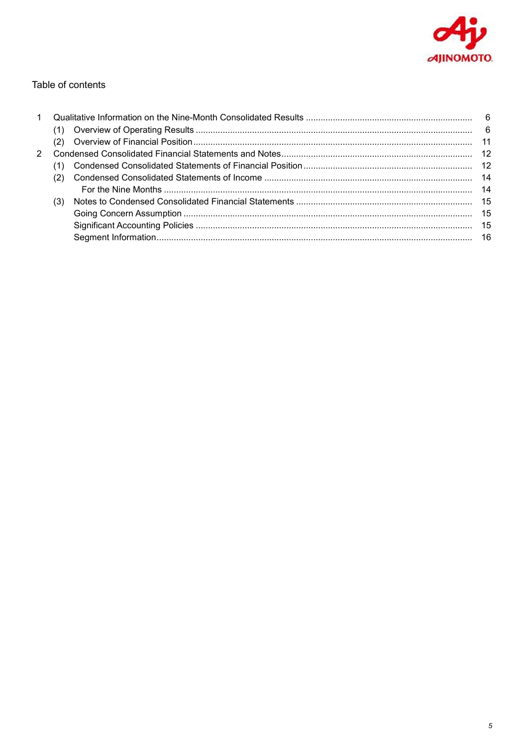

## Table of contents

|   | (2) |  |
|---|-----|--|
| 2 |     |  |
|   |     |  |
|   | (2) |  |
|   |     |  |
|   | (3) |  |
|   |     |  |
|   |     |  |
|   |     |  |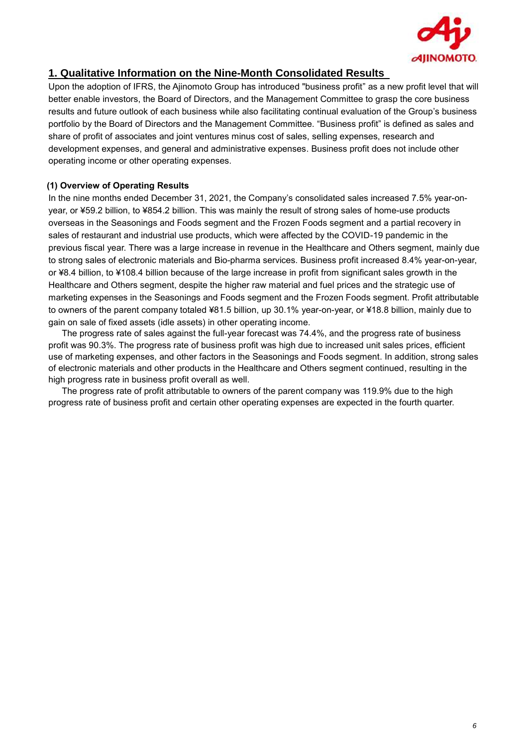

## **1. Qualitative Information on the Nine-Month Consolidated Results**

Upon the adoption of IFRS, the Ajinomoto Group has introduced "business profit" as a new profit level that will better enable investors, the Board of Directors, and the Management Committee to grasp the core business results and future outlook of each business while also facilitating continual evaluation of the Group's business portfolio by the Board of Directors and the Management Committee. "Business profit" is defined as sales and share of profit of associates and joint ventures minus cost of sales, selling expenses, research and development expenses, and general and administrative expenses. Business profit does not include other operating income or other operating expenses.

## **(1) Overview of Operating Results**

In the nine months ended December 31, 2021, the Company's consolidated sales increased 7.5% year-onyear, or ¥59.2 billion, to ¥854.2 billion. This was mainly the result of strong sales of home-use products overseas in the Seasonings and Foods segment and the Frozen Foods segment and a partial recovery in sales of restaurant and industrial use products, which were affected by the COVID-19 pandemic in the previous fiscal year. There was a large increase in revenue in the Healthcare and Others segment, mainly due to strong sales of electronic materials and Bio-pharma services. Business profit increased 8.4% year-on-year, or ¥8.4 billion, to ¥108.4 billion because of the large increase in profit from significant sales growth in the Healthcare and Others segment, despite the higher raw material and fuel prices and the strategic use of marketing expenses in the Seasonings and Foods segment and the Frozen Foods segment. Profit attributable to owners of the parent company totaled ¥81.5 billion, up 30.1% year-on-year, or ¥18.8 billion, mainly due to gain on sale of fixed assets (idle assets) in other operating income.

The progress rate of sales against the full-year forecast was 74.4%, and the progress rate of business profit was 90.3%. The progress rate of business profit was high due to increased unit sales prices, efficient use of marketing expenses, and other factors in the Seasonings and Foods segment. In addition, strong sales of electronic materials and other products in the Healthcare and Others segment continued, resulting in the high progress rate in business profit overall as well.

The progress rate of profit attributable to owners of the parent company was 119.9% due to the high progress rate of business profit and certain other operating expenses are expected in the fourth quarter.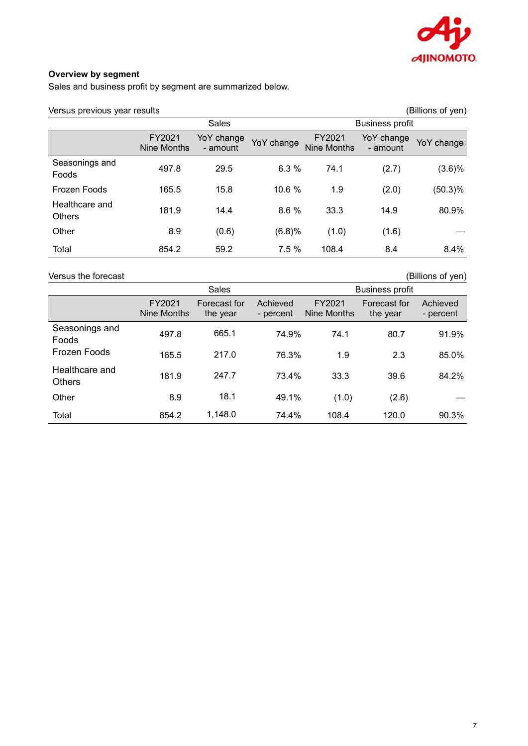

## **Overview by segment**

Sales and business profit by segment are summarized below.

| (Billions of yen)<br>Versus previous year results |                              |                        |            |                              |                        |            |
|---------------------------------------------------|------------------------------|------------------------|------------|------------------------------|------------------------|------------|
|                                                   |                              | Sales                  |            |                              | <b>Business profit</b> |            |
|                                                   | FY2021<br><b>Nine Months</b> | YoY change<br>- amount | YoY change | FY2021<br><b>Nine Months</b> | YoY change<br>- amount | YoY change |
| Seasonings and<br>Foods                           | 497.8                        | 29.5                   | 6.3%       | 74.1                         | (2.7)                  | (3.6)%     |
| Frozen Foods                                      | 165.5                        | 15.8                   | 10.6 %     | 1.9                          | (2.0)                  | (50.3)%    |
| Healthcare and<br><b>Others</b>                   | 181.9                        | 14.4                   | 8.6%       | 33.3                         | 14.9                   | 80.9%      |
| Other                                             | 8.9                          | (0.6)                  | (6.8)%     | (1.0)                        | (1.6)                  |            |
| Total                                             | 854.2                        | 59.2                   | 7.5%       | 108.4                        | 8.4                    | $8.4\%$    |

Versus the forecast (Billions of yen)<br>
Sales Business profit

|                                 | Sales                 |                          | <b>Business profit</b> |                       |                          |                       |
|---------------------------------|-----------------------|--------------------------|------------------------|-----------------------|--------------------------|-----------------------|
|                                 | FY2021<br>Nine Months | Forecast for<br>the year | Achieved<br>- percent  | FY2021<br>Nine Months | Forecast for<br>the year | Achieved<br>- percent |
| Seasonings and<br><b>Foods</b>  | 497.8                 | 665.1                    | 74.9%                  | 74.1                  | 80.7                     | 91.9%                 |
| Frozen Foods                    | 165.5                 | 217.0                    | 76.3%                  | 1.9                   | 2.3                      | 85.0%                 |
| Healthcare and<br><b>Others</b> | 181.9                 | 247.7                    | 73.4%                  | 33.3                  | 39.6                     | 84.2%                 |
| Other                           | 8.9                   | 18.1                     | 49.1%                  | (1.0)                 | (2.6)                    |                       |
| Total                           | 854.2                 | 1,148.0                  | 74.4%                  | 108.4                 | 120.0                    | 90.3%                 |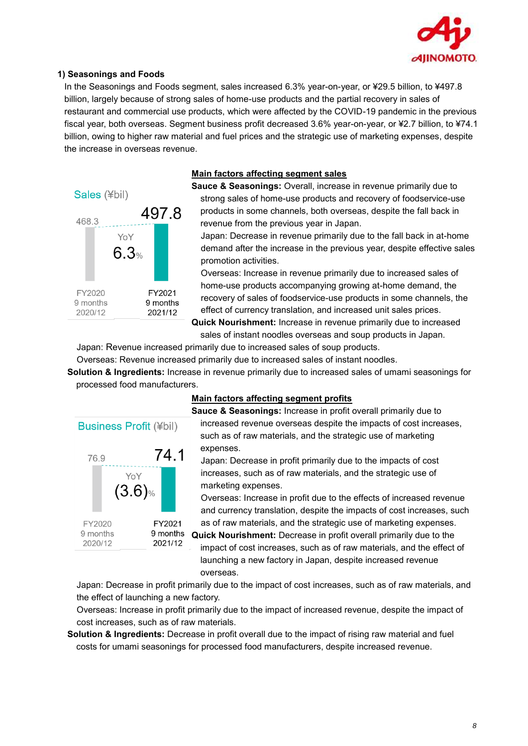

#### **1) Seasonings and Foods**

In the Seasonings and Foods segment, sales increased 6.3% year-on-year, or ¥29.5 billion, to ¥497.8 billion, largely because of strong sales of home-use products and the partial recovery in sales of restaurant and commercial use products, which were affected by the COVID-19 pandemic in the previous fiscal year, both overseas. Segment business profit decreased 3.6% year-on-year, or ¥2.7 billion, to ¥74.1 billion, owing to higher raw material and fuel prices and the strategic use of marketing expenses, despite the increase in overseas revenue.

## Sales (¥bil) 4978 468.3 YoY  $6.3%$ FY2020 FY2021 9 months 9 months 2021/12 2020/12

## **Main factors affecting segment sales**

**Sauce & Seasonings:** Overall, increase in revenue primarily due to strong sales of home-use products and recovery of foodservice-use products in some channels, both overseas, despite the fall back in revenue from the previous year in Japan.

Japan: Decrease in revenue primarily due to the fall back in at-home demand after the increase in the previous year, despite effective sales promotion activities.

Overseas: Increase in revenue primarily due to increased sales of home-use products accompanying growing at-home demand, the recovery of sales of foodservice-use products in some channels, the effect of currency translation, and increased unit sales prices.

**Quick Nourishment:** Increase in revenue primarily due to increased sales of instant noodles overseas and soup products in Japan.

Japan: Revenue increased primarily due to increased sales of soup products.

Overseas: Revenue increased primarily due to increased sales of instant noodles.

**Solution & Ingredients:** Increase in revenue primarily due to increased sales of umami seasonings for processed food manufacturers.



## **Main factors affecting segment profits**

**Sauce & Seasonings:** Increase in profit overall primarily due to increased revenue overseas despite the impacts of cost increases, such as of raw materials, and the strategic use of marketing expenses.

Japan: Decrease in profit primarily due to the impacts of cost increases, such as of raw materials, and the strategic use of marketing expenses.

Overseas: Increase in profit due to the effects of increased revenue and currency translation, despite the impacts of cost increases, such as of raw materials, and the strategic use of marketing expenses.

9 months **Quick Nourishment:** Decrease in profit overall primarily due to the impact of cost increases, such as of raw materials, and the effect of launching a new factory in Japan, despite increased revenue overseas.

Japan: Decrease in profit primarily due to the impact of cost increases, such as of raw materials, and the effect of launching a new factory.

Overseas: Increase in profit primarily due to the impact of increased revenue, despite the impact of cost increases, such as of raw materials.

**Solution & Ingredients:** Decrease in profit overall due to the impact of rising raw material and fuel costs for umami seasonings for processed food manufacturers, despite increased revenue.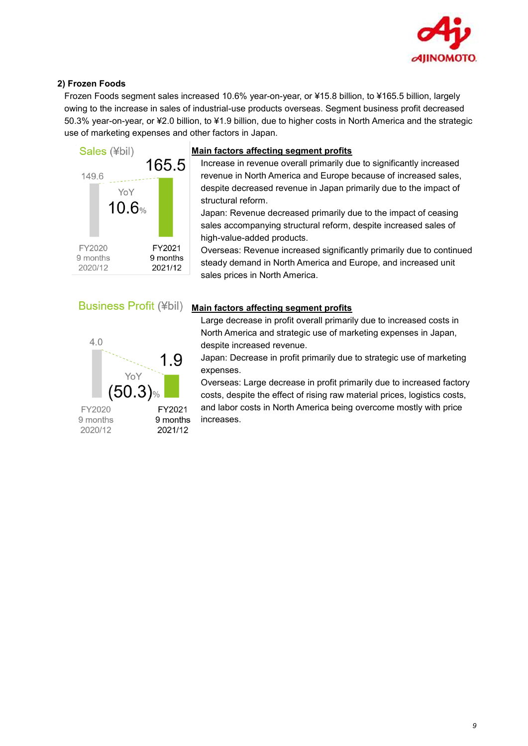

## **2) Frozen Foods**

Frozen Foods segment sales increased 10.6% year-on-year, or ¥15.8 billion, to ¥165.5 billion, largely owing to the increase in sales of industrial-use products overseas. Segment business profit decreased 50.3% year-on-year, or ¥2.0 billion, to ¥1.9 billion, due to higher costs in North America and the strategic use of marketing expenses and other factors in Japan.



#### **Main factors affecting segment profits**

Increase in revenue overall primarily due to significantly increased revenue in North America and Europe because of increased sales, despite decreased revenue in Japan primarily due to the impact of structural reform.

Japan: Revenue decreased primarily due to the impact of ceasing sales accompanying structural reform, despite increased sales of high-value-added products.

Overseas: Revenue increased significantly primarily due to continued steady demand in North America and Europe, and increased unit sales prices in North America.



## **Main factors affecting segment profits**



Large decrease in profit overall primarily due to increased costs in North America and strategic use of marketing expenses in Japan, despite increased revenue.

Japan: Decrease in profit primarily due to strategic use of marketing expenses.

Overseas: Large decrease in profit primarily due to increased factory costs, despite the effect of rising raw material prices, logistics costs, and labor costs in North America being overcome mostly with price increases.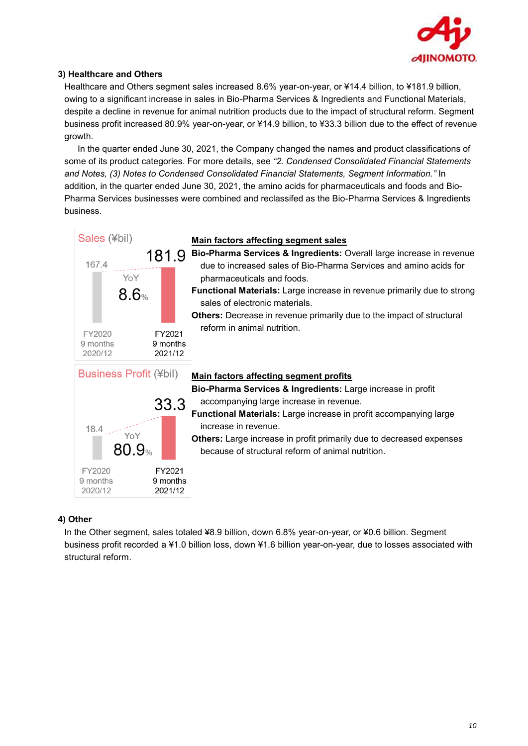

## **3) Healthcare and Others**

Healthcare and Others segment sales increased 8.6% year-on-year, or ¥14.4 billion, to ¥181.9 billion, owing to a significant increase in sales in Bio-Pharma Services & Ingredients and Functional Materials, despite a decline in revenue for animal nutrition products due to the impact of structural reform. Segment business profit increased 80.9% year-on-year, or ¥14.9 billion, to ¥33.3 billion due to the effect of revenue growth.

In the quarter ended June 30, 2021, the Company changed the names and product classifications of some of its product categories. For more details, see *"2. Condensed Consolidated Financial Statements and Notes, (3) Notes to Condensed Consolidated Financial Statements, Segment Information."* In addition, in the quarter ended June 30, 2021, the amino acids for pharmaceuticals and foods and Bio-Pharma Services businesses were combined and reclassifed as the Bio-Pharma Services & Ingredients business.



#### **4) Other**

In the Other segment, sales totaled ¥8.9 billion, down 6.8% year-on-year, or ¥0.6 billion. Segment business profit recorded a ¥1.0 billion loss, down ¥1.6 billion year-on-year, due to losses associated with structural reform.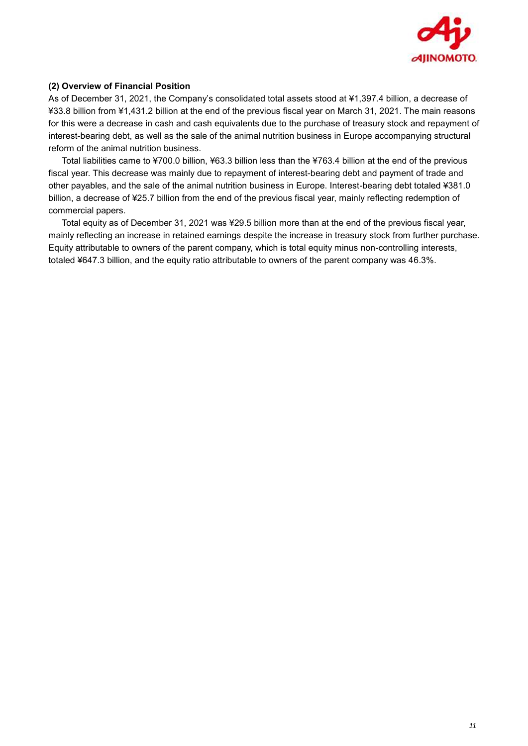

#### **(2) Overview of Financial Position**

As of December 31, 2021, the Company's consolidated total assets stood at ¥1,397.4 billion, a decrease of ¥33.8 billion from ¥1,431.2 billion at the end of the previous fiscal year on March 31, 2021. The main reasons for this were a decrease in cash and cash equivalents due to the purchase of treasury stock and repayment of interest-bearing debt, as well as the sale of the animal nutrition business in Europe accompanying structural reform of the animal nutrition business.

Total liabilities came to ¥700.0 billion, ¥63.3 billion less than the ¥763.4 billion at the end of the previous fiscal year. This decrease was mainly due to repayment of interest-bearing debt and payment of trade and other payables, and the sale of the animal nutrition business in Europe. Interest-bearing debt totaled ¥381.0 billion, a decrease of ¥25.7 billion from the end of the previous fiscal year, mainly reflecting redemption of commercial papers.

Total equity as of December 31, 2021 was ¥29.5 billion more than at the end of the previous fiscal year, mainly reflecting an increase in retained earnings despite the increase in treasury stock from further purchase. Equity attributable to owners of the parent company, which is total equity minus non-controlling interests, totaled ¥647.3 billion, and the equity ratio attributable to owners of the parent company was 46.3%.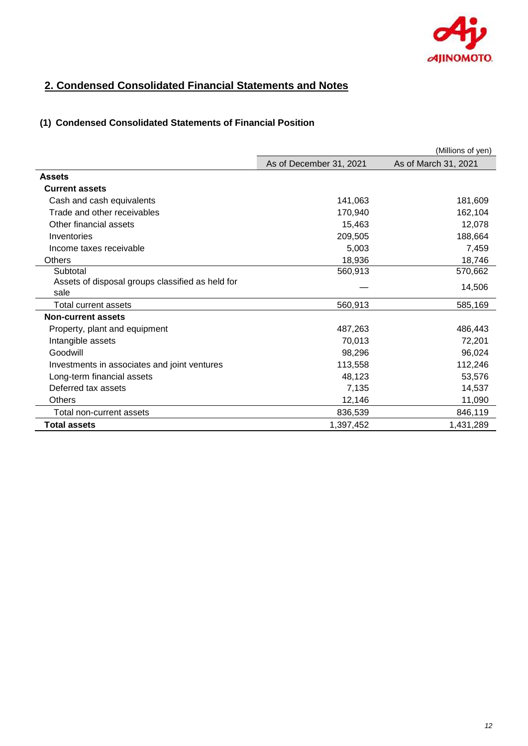

# **2. Condensed Consolidated Financial Statements and Notes**

## **(1) Condensed Consolidated Statements of Financial Position**

|                                                  |                         | (Millions of yen)    |
|--------------------------------------------------|-------------------------|----------------------|
|                                                  | As of December 31, 2021 | As of March 31, 2021 |
| <b>Assets</b>                                    |                         |                      |
| <b>Current assets</b>                            |                         |                      |
| Cash and cash equivalents                        | 141,063                 | 181,609              |
| Trade and other receivables                      | 170,940                 | 162,104              |
| Other financial assets                           | 15,463                  | 12,078               |
| Inventories                                      | 209,505                 | 188,664              |
| Income taxes receivable                          | 5,003                   | 7,459                |
| <b>Others</b>                                    | 18,936                  | 18,746               |
| Subtotal                                         | 560,913                 | 570,662              |
| Assets of disposal groups classified as held for |                         | 14,506               |
| sale                                             |                         |                      |
| Total current assets                             | 560,913                 | 585,169              |
| <b>Non-current assets</b>                        |                         |                      |
| Property, plant and equipment                    | 487,263                 | 486.443              |
| Intangible assets                                | 70,013                  | 72,201               |
| Goodwill                                         | 98,296                  | 96,024               |
| Investments in associates and joint ventures     | 113,558                 | 112,246              |
| Long-term financial assets                       | 48,123                  | 53,576               |
| Deferred tax assets                              | 7,135                   | 14,537               |
| <b>Others</b>                                    | 12,146                  | 11,090               |
| Total non-current assets                         | 836,539                 | 846,119              |
| <b>Total assets</b>                              | 1,397,452               | 1,431,289            |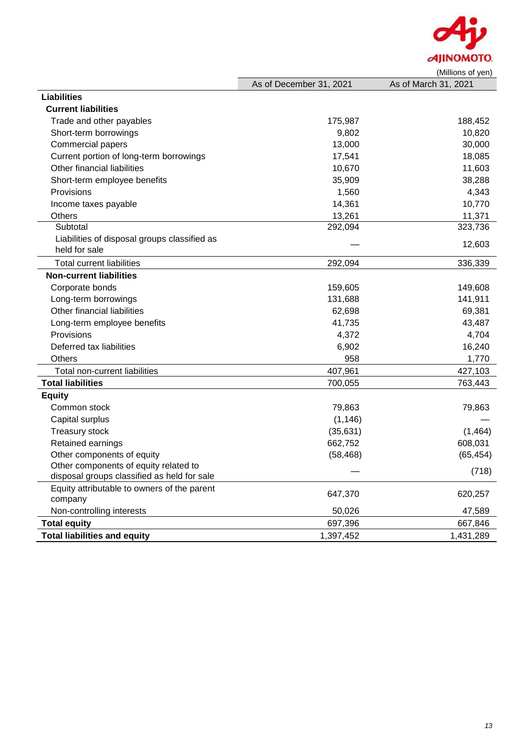

|                                              |                         | (IVIIIIIONS OF YEN)  |
|----------------------------------------------|-------------------------|----------------------|
|                                              | As of December 31, 2021 | As of March 31, 2021 |
| <b>Liabilities</b>                           |                         |                      |
| <b>Current liabilities</b>                   |                         |                      |
| Trade and other payables                     | 175,987                 | 188,452              |
| Short-term borrowings                        | 9,802                   | 10,820               |
| <b>Commercial papers</b>                     | 13,000                  | 30,000               |
| Current portion of long-term borrowings      | 17,541                  | 18,085               |
| Other financial liabilities                  | 10,670                  | 11,603               |
| Short-term employee benefits                 | 35,909                  | 38,288               |
| Provisions                                   | 1,560                   | 4,343                |
| Income taxes payable                         | 14,361                  | 10,770               |
| <b>Others</b>                                | 13,261                  | 11,371               |
| Subtotal                                     | 292,094                 | 323,736              |
| Liabilities of disposal groups classified as |                         | 12,603               |
| held for sale                                |                         |                      |
| <b>Total current liabilities</b>             | 292,094                 | 336,339              |
| <b>Non-current liabilities</b>               |                         |                      |
| Corporate bonds                              | 159,605                 | 149,608              |
| Long-term borrowings                         | 131,688                 | 141,911              |
| Other financial liabilities                  | 62,698                  | 69,381               |
| Long-term employee benefits                  | 41,735                  | 43,487               |
| Provisions                                   | 4,372                   | 4,704                |
| Deferred tax liabilities                     | 6,902                   | 16,240               |
| <b>Others</b>                                | 958                     | 1,770                |
| Total non-current liabilities                | 407,961                 | 427,103              |
| <b>Total liabilities</b>                     | 700,055                 | 763,443              |
| <b>Equity</b>                                |                         |                      |
| Common stock                                 | 79,863                  | 79,863               |
| Capital surplus                              | (1, 146)                |                      |
| Treasury stock                               | (35, 631)               | (1,464)              |
| Retained earnings                            | 662,752                 | 608,031              |
| Other components of equity                   | (58, 468)               | (65, 454)            |
| Other components of equity related to        |                         |                      |
| disposal groups classified as held for sale  |                         | (718)                |
| Equity attributable to owners of the parent  | 647,370                 | 620,257              |
| company                                      |                         |                      |
| Non-controlling interests                    | 50,026                  | 47,589               |
| <b>Total equity</b>                          | 697,396                 | 667,846              |
| <b>Total liabilities and equity</b>          | 1,397,452               | 1,431,289            |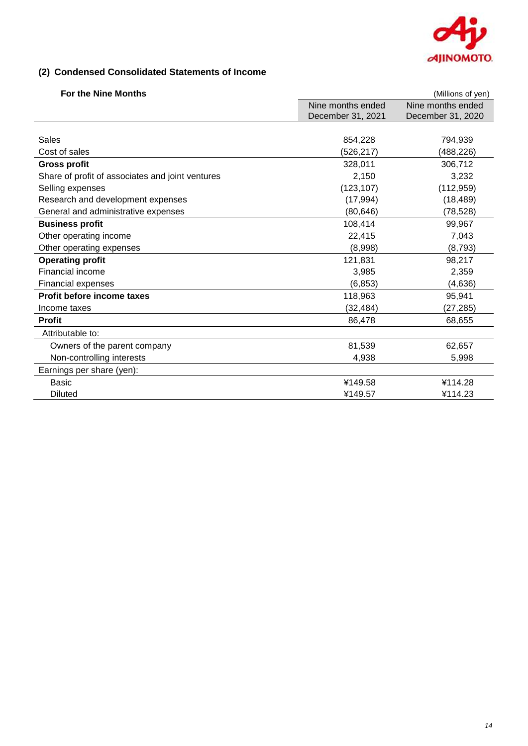

## **(2) Condensed Consolidated Statements of Income**

| <b>For the Nine Months</b>                       |                   | (Millions of yen) |
|--------------------------------------------------|-------------------|-------------------|
|                                                  | Nine months ended | Nine months ended |
|                                                  | December 31, 2021 | December 31, 2020 |
|                                                  |                   |                   |
| Sales                                            | 854,228           | 794,939           |
| Cost of sales                                    | (526, 217)        | (488,226)         |
| <b>Gross profit</b>                              | 328,011           | 306,712           |
| Share of profit of associates and joint ventures | 2,150             | 3,232             |
| Selling expenses                                 | (123, 107)        | (112, 959)        |
| Research and development expenses                | (17, 994)         | (18, 489)         |
| General and administrative expenses              | (80, 646)         | (78, 528)         |
| <b>Business profit</b>                           | 108,414           | 99,967            |
| Other operating income                           | 22,415            | 7,043             |
| Other operating expenses                         | (8,998)           | (8, 793)          |
| <b>Operating profit</b>                          | 121,831           | 98,217            |
| Financial income                                 | 3,985             | 2,359             |
| <b>Financial expenses</b>                        | (6, 853)          | (4,636)           |
| Profit before income taxes                       | 118,963           | 95,941            |
| Income taxes                                     | (32, 484)         | (27, 285)         |
| <b>Profit</b>                                    | 86,478            | 68,655            |
| Attributable to:                                 |                   |                   |
| Owners of the parent company                     | 81,539            | 62,657            |
| Non-controlling interests                        | 4,938             | 5,998             |
| Earnings per share (yen):                        |                   |                   |
| <b>Basic</b>                                     | ¥149.58           | ¥114.28           |
| <b>Diluted</b>                                   | ¥149.57           | ¥114.23           |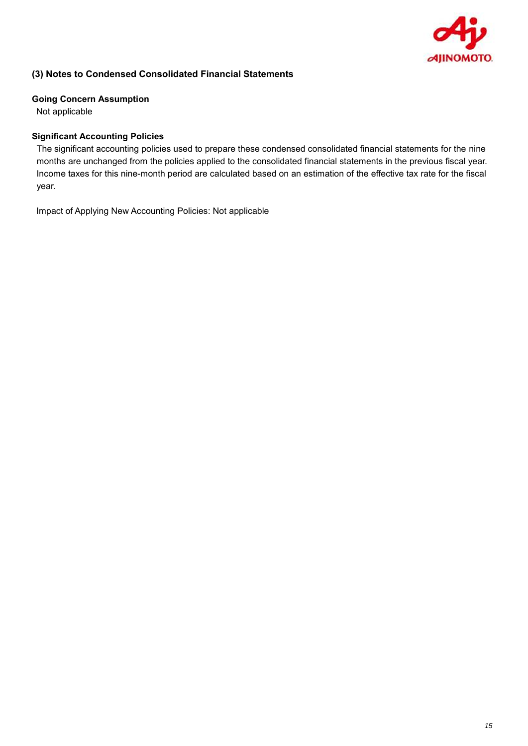

## **(3) Notes to Condensed Consolidated Financial Statements**

#### **Going Concern Assumption**

Not applicable

## **Significant Accounting Policies**

The significant accounting policies used to prepare these condensed consolidated financial statements for the nine months are unchanged from the policies applied to the consolidated financial statements in the previous fiscal year. Income taxes for this nine-month period are calculated based on an estimation of the effective tax rate for the fiscal year.

Impact of Applying New Accounting Policies: Not applicable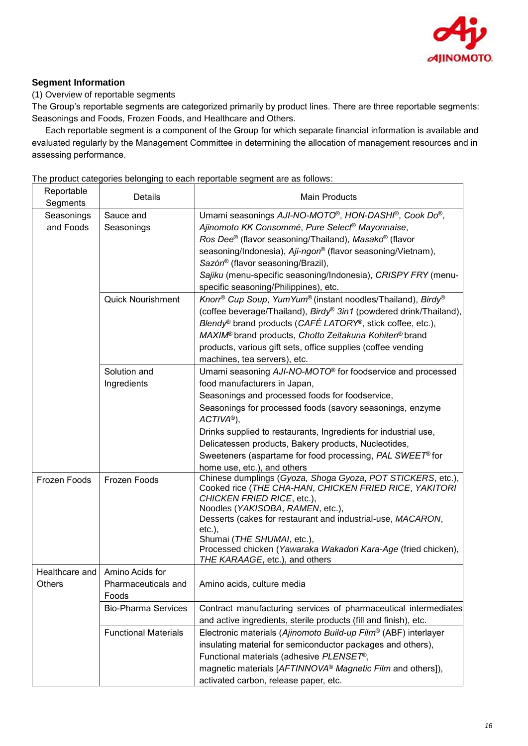

## **Segment Information**

## (1) Overview of reportable segments

The Group's reportable segments are categorized primarily by product lines. There are three reportable segments: Seasonings and Foods, Frozen Foods, and Healthcare and Others.

Each reportable segment is a component of the Group for which separate financial information is available and evaluated regularly by the Management Committee in determining the allocation of management resources and in assessing performance.

The product categories belonging to each reportable segment are as follows:

| Reportable<br>Segments  | Details                                                          | <b>Main Products</b>                                                                                                                                                                                                                                                                                                                                                                                                                 |
|-------------------------|------------------------------------------------------------------|--------------------------------------------------------------------------------------------------------------------------------------------------------------------------------------------------------------------------------------------------------------------------------------------------------------------------------------------------------------------------------------------------------------------------------------|
| Seasonings<br>and Foods | Sauce and<br>Seasonings                                          | Umami seasonings AJI-NO-MOTO <sup>®</sup> , HON-DASHI <sup>®</sup> , Cook Do®,<br>Ajinomoto KK Consommé, Pure Select <sup>®</sup> Mayonnaise,<br>Ros Dee® (flavor seasoning/Thailand), Masako® (flavor<br>seasoning/Indonesia), Aji-ngon® (flavor seasoning/Vietnam),<br>Sazón® (flavor seasoning/Brazil),<br>Sajiku (menu-specific seasoning/Indonesia), CRISPY FRY (menu-<br>specific seasoning/Philippines), etc.                 |
|                         | <b>Quick Nourishment</b>                                         | Knorr <sup>®</sup> Cup Soup, YumYum® (instant noodles/Thailand), Birdy®<br>(coffee beverage/Thailand), Birdy® 3in1 (powdered drink/Thailand),<br><i>Blendy</i> <sup>®</sup> brand products ( <i>CAFÉ LATORY</i> <sup>®</sup> , stick coffee, etc.),<br>MAXIM® brand products, Chotto Zeitakuna Kohiten® brand<br>products, various gift sets, office supplies (coffee vending<br>machines, tea servers), etc.                        |
|                         | Solution and<br>Ingredients                                      | Umami seasoning AJI-NO-MOTO® for foodservice and processed<br>food manufacturers in Japan,<br>Seasonings and processed foods for foodservice,<br>Seasonings for processed foods (savory seasonings, enzyme<br>$ACTIVA®$ ),<br>Drinks supplied to restaurants, Ingredients for industrial use,<br>Delicatessen products, Bakery products, Nucleotides,<br>Sweeteners (aspartame for food processing, PAL SWEET® for                   |
| Frozen Foods            | Frozen Foods                                                     | home use, etc.), and others<br>Chinese dumplings (Gyoza, Shoga Gyoza, POT STICKERS, etc.),<br>Cooked rice (THE CHA-HAN, CHICKEN FRIED RICE, YAKITORI<br>CHICKEN FRIED RICE, etc.),<br>Noodles (YAKISOBA, RAMEN, etc.),<br>Desserts (cakes for restaurant and industrial-use, MACARON,<br>$etc.$ ),<br>Shumai (THE SHUMAI, etc.),<br>Processed chicken (Yawaraka Wakadori Kara-Age (fried chicken),<br>THE KARAAGE, etc.), and others |
| Others                  | Healthcare and   Amino Acids for<br>Pharmaceuticals and<br>Foods | Amino acids, culture media                                                                                                                                                                                                                                                                                                                                                                                                           |
|                         | <b>Bio-Pharma Services</b><br><b>Functional Materials</b>        | Contract manufacturing services of pharmaceutical intermediates<br>and active ingredients, sterile products (fill and finish), etc.<br>Electronic materials (Ajinomoto Build-up Film® (ABF) interlayer                                                                                                                                                                                                                               |
|                         |                                                                  | insulating material for semiconductor packages and others),<br>Functional materials (adhesive PLENSET <sup>®</sup> ,<br>magnetic materials [AFTINNOVA® Magnetic Film and others]),<br>activated carbon, release paper, etc.                                                                                                                                                                                                          |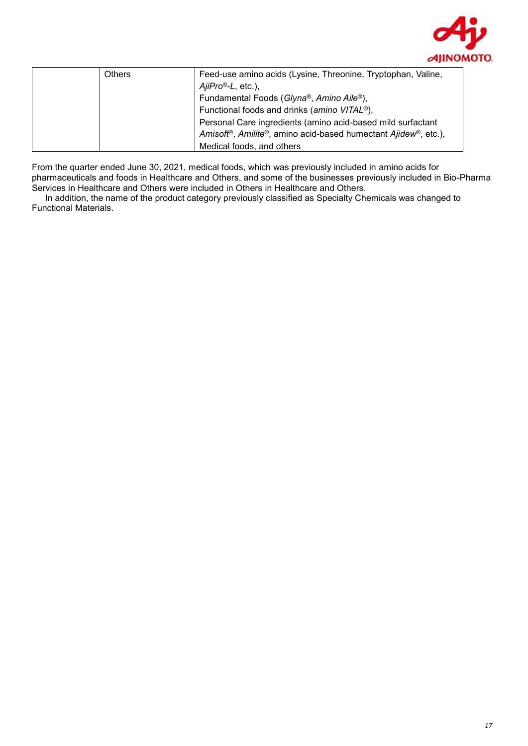

| <b>Others</b> | Feed-use amino acids (Lysine, Threonine, Tryptophan, Valine,                |
|---------------|-----------------------------------------------------------------------------|
|               | $AiIPro^{\circledcirc}$ -L, etc.),                                          |
|               | Fundamental Foods (Glyna®, Amino Aile®),                                    |
|               | Functional foods and drinks (amino VITAL <sup>®</sup> ),                    |
|               | Personal Care ingredients (amino acid-based mild surfactant                 |
|               | Amisoft <sup>®</sup> , Amilite®, amino acid-based humectant Ajidew®, etc.), |
|               | Medical foods, and others                                                   |

From the quarter ended June 30, 2021, medical foods, which was previously included in amino acids for pharmaceuticals and foods in Healthcare and Others, and some of the businesses previously included in Bio-Pharma Services in Healthcare and Others were included in Others in Healthcare and Others.

In addition, the name of the product category previously classified as Specialty Chemicals was changed to Functional Materials.